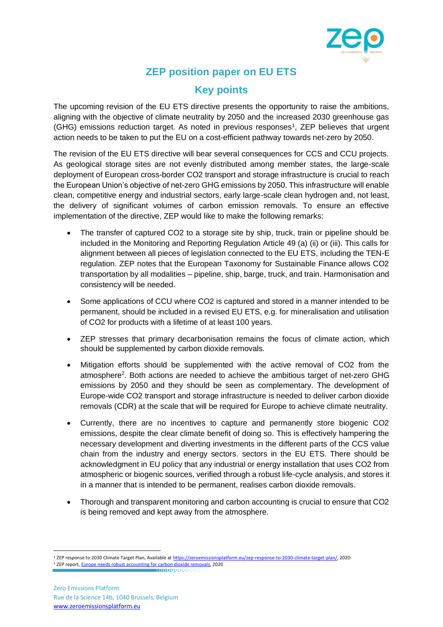

## **ZEP position paper on EU ETS**

## **Key points**

The upcoming revision of the EU ETS directive presents the opportunity to raise the ambitions, aligning with the objective of climate neutrality by 2050 and the increased 2030 greenhouse gas (GHG) emissions reduction target. As noted in previous responses<sup>1</sup>, ZEP believes that urgent action needs to be taken to put the EU on a cost-efficient pathway towards net-zero by 2050.

The revision of the EU ETS directive will bear several consequences for CCS and CCU projects. As geological storage sites are not evenly distributed among member states, the large-scale deployment of European cross-border CO2 transport and storage infrastructure is crucial to reach the European Union's objective of net-zero GHG emissions by 2050. This infrastructure will enable clean, competitive energy and industrial sectors, early large-scale clean hydrogen and, not least, the delivery of significant volumes of carbon emission removals. To ensure an effective implementation of the directive, ZEP would like to make the following remarks:

- The transfer of captured CO2 to a storage site by ship, truck, train or pipeline should be included in the Monitoring and Reporting Regulation Article 49 (a) (ii) or (iii). This calls for alignment between all pieces of legislation connected to the EU ETS, including the TEN-E regulation. ZEP notes that the European Taxonomy for Sustainable Finance allows CO2 transportation by all modalities – pipeline, ship, barge, truck, and train. Harmonisation and consistency will be needed.
- Some applications of CCU where CO2 is captured and stored in a manner intended to be permanent, should be included in a revised EU ETS, e.g. for mineralisation and utilisation of CO2 for products with a lifetime of at least 100 years.
- ZEP stresses that primary decarbonisation remains the focus of climate action, which should be supplemented by carbon dioxide removals.
- Mitigation efforts should be supplemented with the active removal of CO2 from the atmosphere<sup>2</sup>. Both actions are needed to achieve the ambitious target of net-zero GHG emissions by 2050 and they should be seen as complementary. The development of Europe-wide CO2 transport and storage infrastructure is needed to deliver carbon dioxide removals (CDR) at the scale that will be required for Europe to achieve climate neutrality.
- Currently, there are no incentives to capture and permanently store biogenic CO2 emissions, despite the clear climate benefit of doing so. This is effectively hampering the necessary development and diverting investments in the different parts of the CCS value chain from the industry and energy sectors. sectors in the EU ETS. There should be acknowledgment in EU policy that any industrial or energy installation that uses CO2 from atmospheric or biogenic sources, verified through a robust life-cycle analysis, and stores it in a manner that is intended to be permanent, realises carbon dioxide removals.
- Thorough and transparent monitoring and carbon accounting is crucial to ensure that CO2 is being removed and kept away from the atmosphere.

<sup>1</sup> ZEP response to 2030 Climate Target Plan, Available a[t https://zeroemissionsplatform.eu/zep-response-to-2030-climate-target-plan/,](https://zeroemissionsplatform.eu/zep-response-to-2030-climate-target-plan/) 2020 <sup>2</sup> ZEP report[, Europe needs robust accounting for carbon dioxide removals,](https://zeroemissionsplatform.eu/europe-needs-robust-accounting-for-carbon-dioxide-removal/) 2020